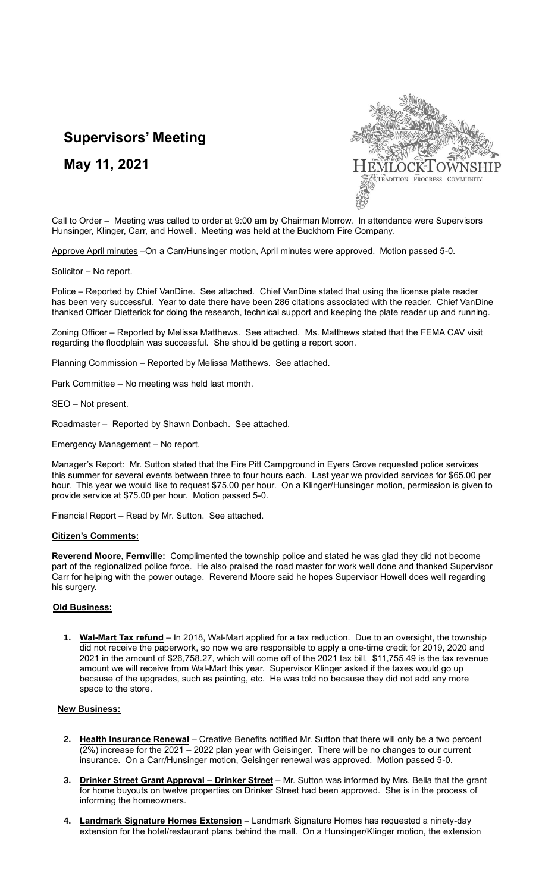## **Supervisors' Meeting**

**May 11, 2021**



Call to Order – Meeting was called to order at 9:00 am by Chairman Morrow. In attendance were Supervisors Hunsinger, Klinger, Carr, and Howell. Meeting was held at the Buckhorn Fire Company.

Approve April minutes –On a Carr/Hunsinger motion, April minutes were approved. Motion passed 5-0.

Solicitor – No report.

Police – Reported by Chief VanDine. See attached. Chief VanDine stated that using the license plate reader has been very successful. Year to date there have been 286 citations associated with the reader. Chief VanDine thanked Officer Dietterick for doing the research, technical support and keeping the plate reader up and running.

Zoning Officer – Reported by Melissa Matthews. See attached. Ms. Matthews stated that the FEMA CAV visit regarding the floodplain was successful. She should be getting a report soon.

Planning Commission – Reported by Melissa Matthews. See attached.

Park Committee – No meeting was held last month.

SEO – Not present.

Roadmaster – Reported by Shawn Donbach. See attached.

Emergency Management – No report.

Manager's Report: Mr. Sutton stated that the Fire Pitt Campground in Eyers Grove requested police services this summer for several events between three to four hours each. Last year we provided services for \$65.00 per hour. This year we would like to request \$75.00 per hour. On a Klinger/Hunsinger motion, permission is given to provide service at \$75.00 per hour. Motion passed 5-0.

Financial Report – Read by Mr. Sutton. See attached.

## **Citizen's Comments:**

**Reverend Moore, Fernville:** Complimented the township police and stated he was glad they did not become part of the regionalized police force. He also praised the road master for work well done and thanked Supervisor Carr for helping with the power outage. Reverend Moore said he hopes Supervisor Howell does well regarding his surgery.

## **Old Business:**

**1. Wal-Mart Tax refund** – In 2018, Wal-Mart applied for a tax reduction. Due to an oversight, the township did not receive the paperwork, so now we are responsible to apply a one-time credit for 2019, 2020 and 2021 in the amount of \$26,758.27, which will come off of the 2021 tax bill. \$11,755.49 is the tax revenue amount we will receive from Wal-Mart this year. Supervisor Klinger asked if the taxes would go up because of the upgrades, such as painting, etc. He was told no because they did not add any more space to the store.

## **New Business:**

- **2. Health Insurance Renewal** Creative Benefits notified Mr. Sutton that there will only be a two percent  $(2%)$  increase for the 2021 – 2022 plan year with Geisinger. There will be no changes to our current insurance. On a Carr/Hunsinger motion, Geisinger renewal was approved. Motion passed 5-0.
- **3. Drinker Street Grant Approval – Drinker Street** Mr. Sutton was informed by Mrs. Bella that the grant for home buyouts on twelve properties on Drinker Street had been approved. She is in the process of informing the homeowners.
- **4. Landmark Signature Homes Extension** Landmark Signature Homes has requested a ninety-day extension for the hotel/restaurant plans behind the mall. On a Hunsinger/Klinger motion, the extension